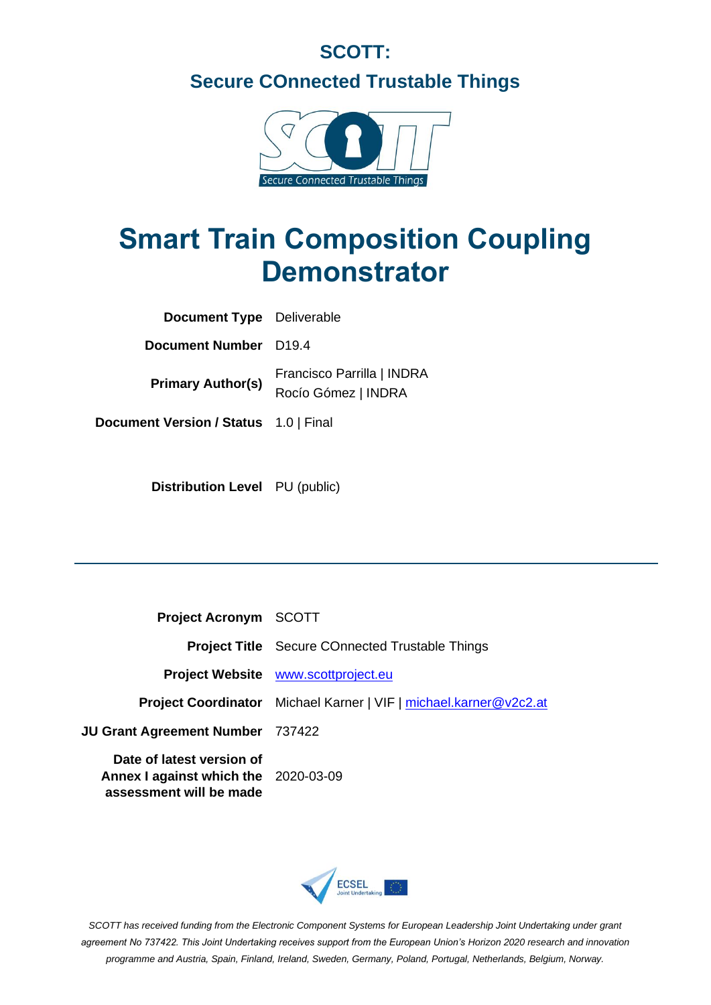# **SCOTT: Secure COnnected Trustable Things**



# **Smart Train Composition Coupling Demonstrator**

| <b>Document Type</b> Deliverable      |                                                   |
|---------------------------------------|---------------------------------------------------|
| Document Number D19.4                 |                                                   |
| <b>Primary Author(s)</b>              | Francisco Parrilla   INDRA<br>Rocío Gómez   INDRA |
| Document Version / Status 1.0   Final |                                                   |

**Distribution Level** PU (public)

| <b>Project Acronym SCOTT</b>                                                                 |                                                                          |
|----------------------------------------------------------------------------------------------|--------------------------------------------------------------------------|
|                                                                                              | <b>Project Title</b> Secure COnnected Trustable Things                   |
|                                                                                              | <b>Project Website</b> www.scottproject.eu                               |
|                                                                                              | <b>Project Coordinator</b> Michael Karner   VIF   michael.karner@v2c2.at |
| <b>JU Grant Agreement Number</b> 737422                                                      |                                                                          |
| Date of latest version of<br>Annex I against which the 2020-03-09<br>assessment will be made |                                                                          |



*SCOTT has received funding from the Electronic Component Systems for European Leadership Joint Undertaking under grant agreement No 737422. This Joint Undertaking receives support from the European Union's Horizon 2020 research and innovation programme and Austria, Spain, Finland, Ireland, Sweden, Germany, Poland, Portugal, Netherlands, Belgium, Norway.*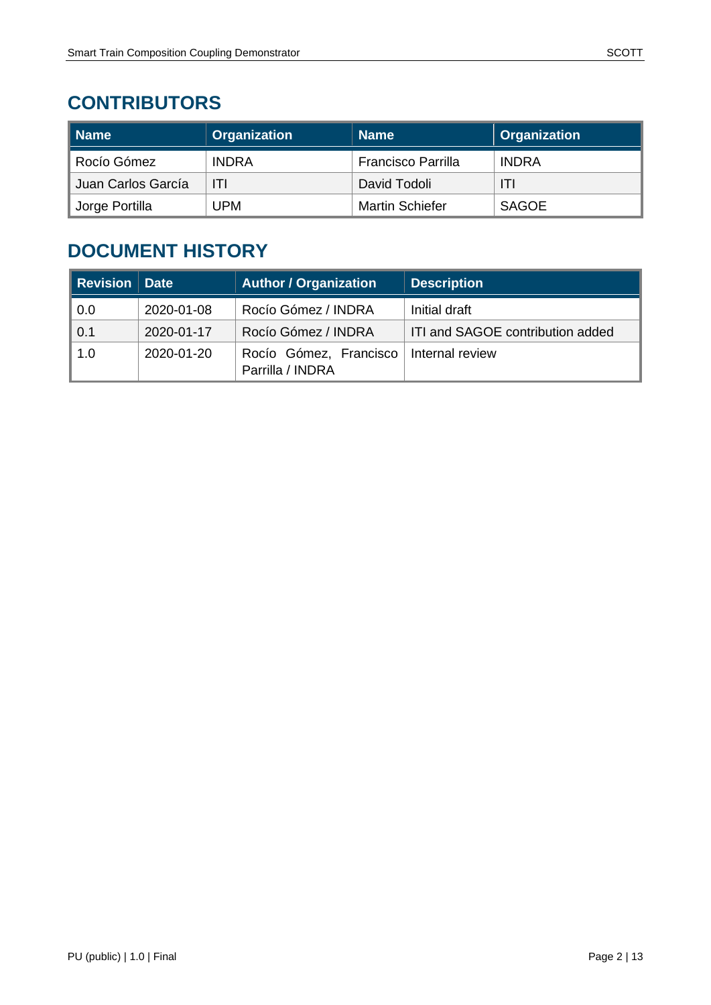# **CONTRIBUTORS**

| ∥ Name                      | <b>Organization</b> | <b>Name</b>               | Organization |
|-----------------------------|---------------------|---------------------------|--------------|
| Rocío Gómez                 | <b>INDRA</b>        | <b>Francisco Parrilla</b> | <b>INDRA</b> |
| Juan Carlos García          | ITI                 | David Todoli              | ITI          |
| <sup>®</sup> Jorge Portilla | UPM                 | <b>Martin Schiefer</b>    | <b>SAGOE</b> |

# **DOCUMENT HISTORY**

| <b>Revision Date</b> |            | <b>Author / Organization</b>               | <b>Description</b>               |
|----------------------|------------|--------------------------------------------|----------------------------------|
| 0.0                  | 2020-01-08 | Rocío Gómez / INDRA                        | Initial draft                    |
| 0.1                  | 2020-01-17 | Rocío Gómez / INDRA                        | ITI and SAGOE contribution added |
| 1.0                  | 2020-01-20 | Rocío Gómez, Francisco<br>Parrilla / INDRA | Internal review                  |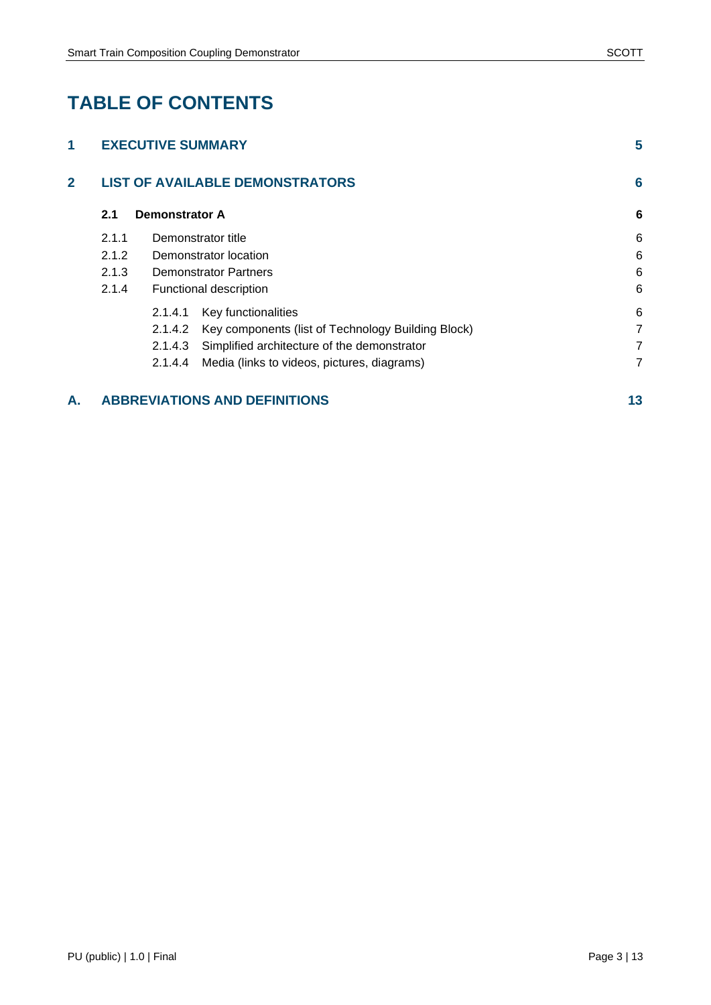# **TABLE OF CONTENTS**

#### **A. [ABBREVIATIONS AND DEFINITIONS](#page-12-0) 13**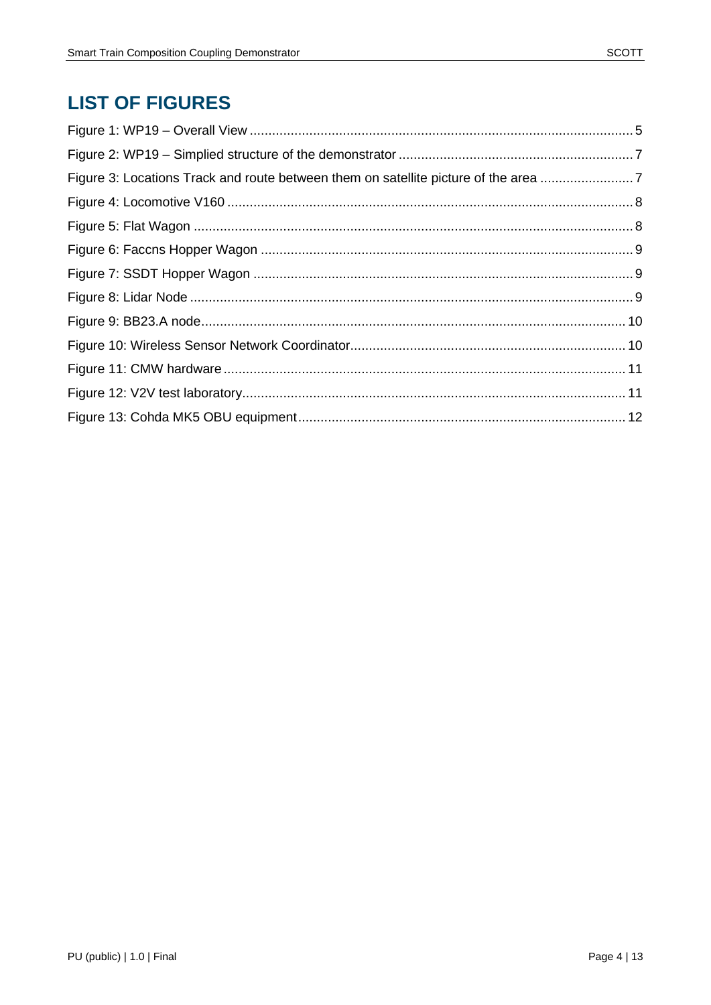# **LIST OF FIGURES**

| Figure 3: Locations Track and route between them on satellite picture of the area 7 |  |
|-------------------------------------------------------------------------------------|--|
|                                                                                     |  |
|                                                                                     |  |
|                                                                                     |  |
|                                                                                     |  |
|                                                                                     |  |
|                                                                                     |  |
|                                                                                     |  |
|                                                                                     |  |
|                                                                                     |  |
|                                                                                     |  |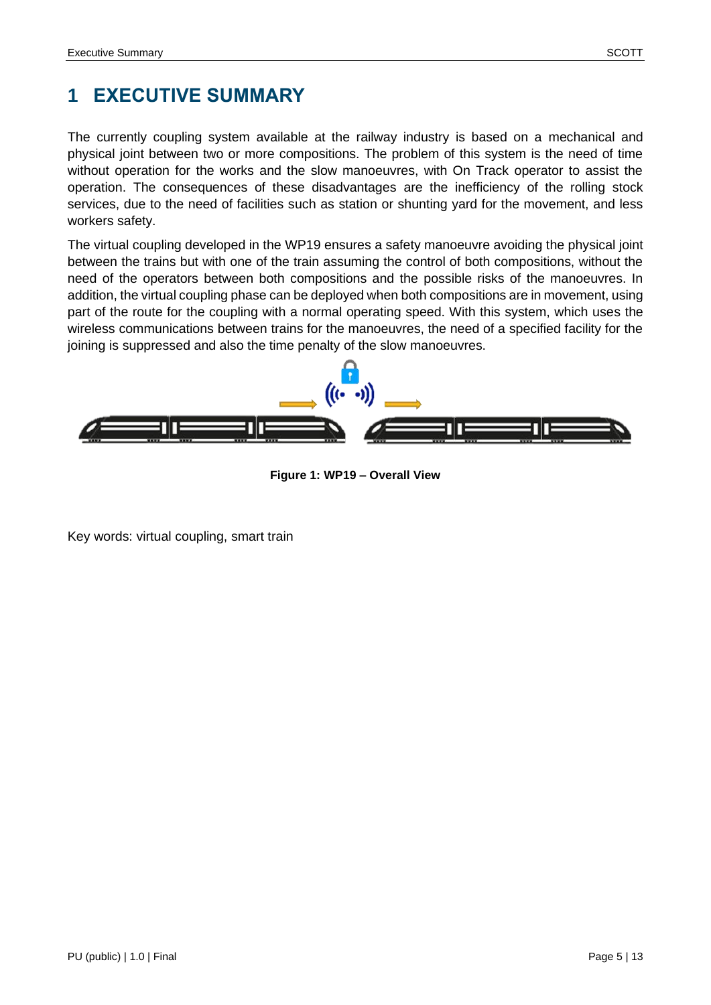# <span id="page-4-0"></span>**1 EXECUTIVE SUMMARY**

The currently coupling system available at the railway industry is based on a mechanical and physical joint between two or more compositions. The problem of this system is the need of time without operation for the works and the slow manoeuvres, with On Track operator to assist the operation. The consequences of these disadvantages are the inefficiency of the rolling stock services, due to the need of facilities such as station or shunting yard for the movement, and less workers safety.

The virtual coupling developed in the WP19 ensures a safety manoeuvre avoiding the physical joint between the trains but with one of the train assuming the control of both compositions, without the need of the operators between both compositions and the possible risks of the manoeuvres. In addition, the virtual coupling phase can be deployed when both compositions are in movement, using part of the route for the coupling with a normal operating speed. With this system, which uses the wireless communications between trains for the manoeuvres, the need of a specified facility for the joining is suppressed and also the time penalty of the slow manoeuvres.



**Figure 1: WP19 – Overall View**

<span id="page-4-1"></span>Key words: virtual coupling, smart train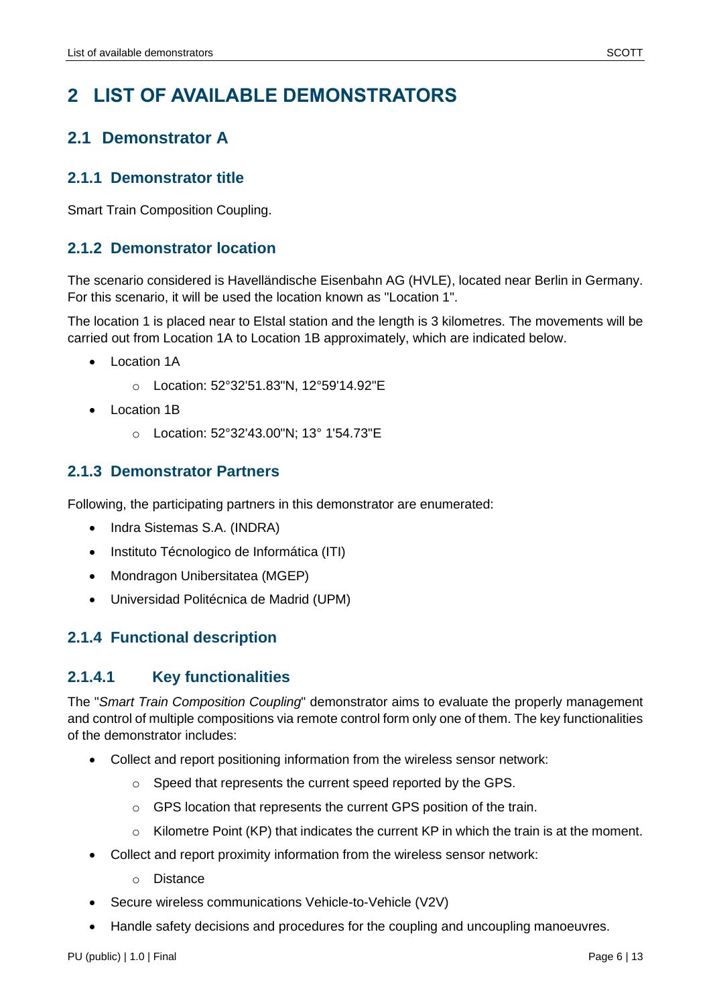### <span id="page-5-1"></span><span id="page-5-0"></span>**2.1 Demonstrator A**

#### <span id="page-5-2"></span>**2.1.1 Demonstrator title**

Smart Train Composition Coupling.

### <span id="page-5-3"></span>**2.1.2 Demonstrator location**

The scenario considered is Havelländische Eisenbahn AG (HVLE), located near Berlin in Germany. For this scenario, it will be used the location known as "Location 1".

The location 1 is placed near to Elstal station and the length is 3 kilometres. The movements will be carried out from Location 1A to Location 1B approximately, which are indicated below.

- Location 1A
	- o Location: 52°32'51.83"N, 12°59'14.92"E
- Location 1B
	- o Location: 52°32'43.00"N; 13° 1'54.73"E

### <span id="page-5-4"></span>**2.1.3 Demonstrator Partners**

Following, the participating partners in this demonstrator are enumerated:

- Indra Sistemas S.A. (INDRA)
- Instituto Técnologico de Informática (ITI)
- Mondragon Unibersitatea (MGEP)
- Universidad Politécnica de Madrid (UPM)

### <span id="page-5-5"></span>**2.1.4 Functional description**

### <span id="page-5-6"></span>**2.1.4.1 Key functionalities**

The "*Smart Train Composition Coupling*" demonstrator aims to evaluate the properly management and control of multiple compositions via remote control form only one of them. The key functionalities of the demonstrator includes:

- Collect and report positioning information from the wireless sensor network:
	- o Speed that represents the current speed reported by the GPS.
	- o GPS location that represents the current GPS position of the train.
	- $\circ$  Kilometre Point (KP) that indicates the current KP in which the train is at the moment.
- Collect and report proximity information from the wireless sensor network:
	- o Distance
- Secure wireless communications Vehicle-to-Vehicle (V2V)
- Handle safety decisions and procedures for the coupling and uncoupling manoeuvres.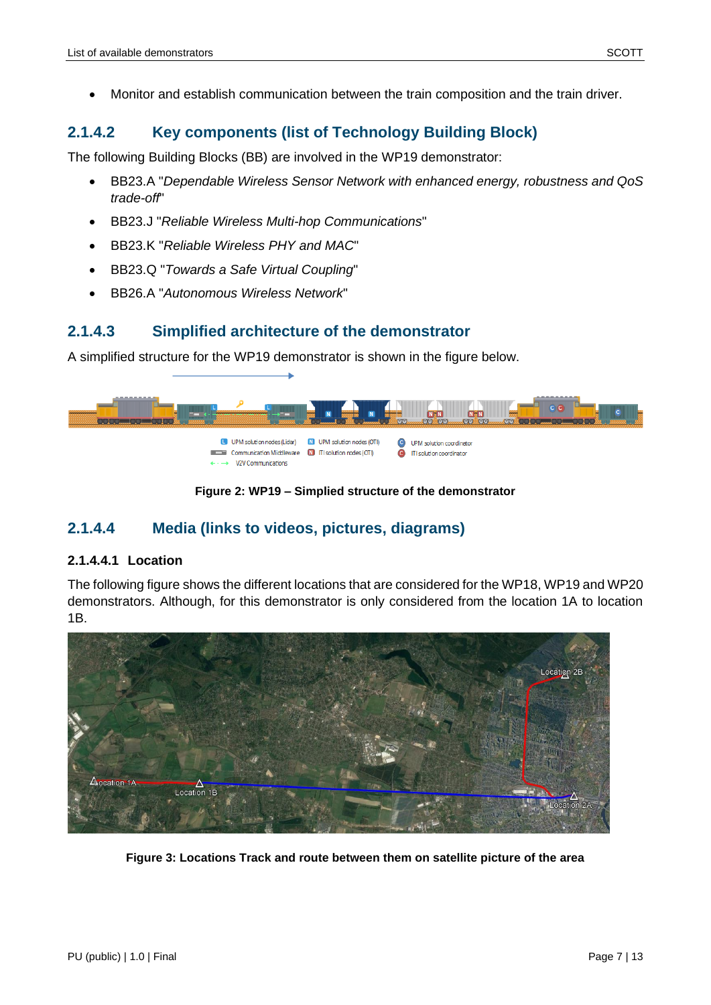• Monitor and establish communication between the train composition and the train driver.

#### <span id="page-6-0"></span>**2.1.4.2 Key components (list of Technology Building Block)**

The following Building Blocks (BB) are involved in the WP19 demonstrator:

- BB23.A "*Dependable Wireless Sensor Network with enhanced energy, robustness and QoS trade-off*"
- BB23.J "*Reliable Wireless Multi-hop Communications*"
- BB23.K "*Reliable Wireless PHY and MAC*"
- BB23.Q "*Towards a Safe Virtual Coupling*"
- BB26.A "*Autonomous Wireless Network*"

#### <span id="page-6-1"></span>**2.1.4.3 Simplified architecture of the demonstrator**

A simplified structure for the WP19 demonstrator is shown in the figure below.



**Figure 2: WP19 – Simplied structure of the demonstrator**

### <span id="page-6-3"></span><span id="page-6-2"></span>**2.1.4.4 Media (links to videos, pictures, diagrams)**

#### **2.1.4.4.1 Location**

The following figure shows the different locations that are considered for the WP18, WP19 and WP20 demonstrators. Although, for this demonstrator is only considered from the location 1A to location 1B.

<span id="page-6-4"></span>

**Figure 3: Locations Track and route between them on satellite picture of the area**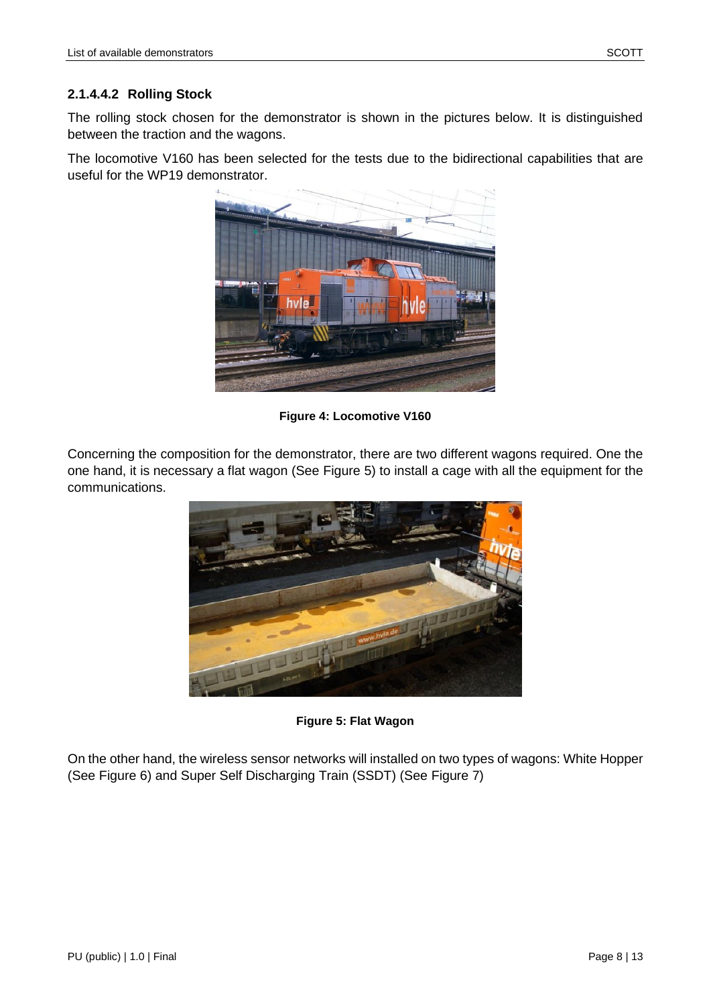#### **2.1.4.4.2 Rolling Stock**

The rolling stock chosen for the demonstrator is shown in the pictures below. It is distinguished between the traction and the wagons.

The locomotive V160 has been selected for the tests due to the bidirectional capabilities that are useful for the WP19 demonstrator.



**Figure 4: Locomotive V160**

<span id="page-7-0"></span>Concerning the composition for the demonstrator, there are two different wagons required. One the one hand, it is necessary a flat wagon (See [Figure 5\)](#page-7-1) to install a cage with all the equipment for the communications.



**Figure 5: Flat Wagon**

<span id="page-7-1"></span>On the other hand, the wireless sensor networks will installed on two types of wagons: White Hopper (See [Figure 6\)](#page-8-0) and Super Self Discharging Train (SSDT) (See [Figure 7\)](#page-8-1)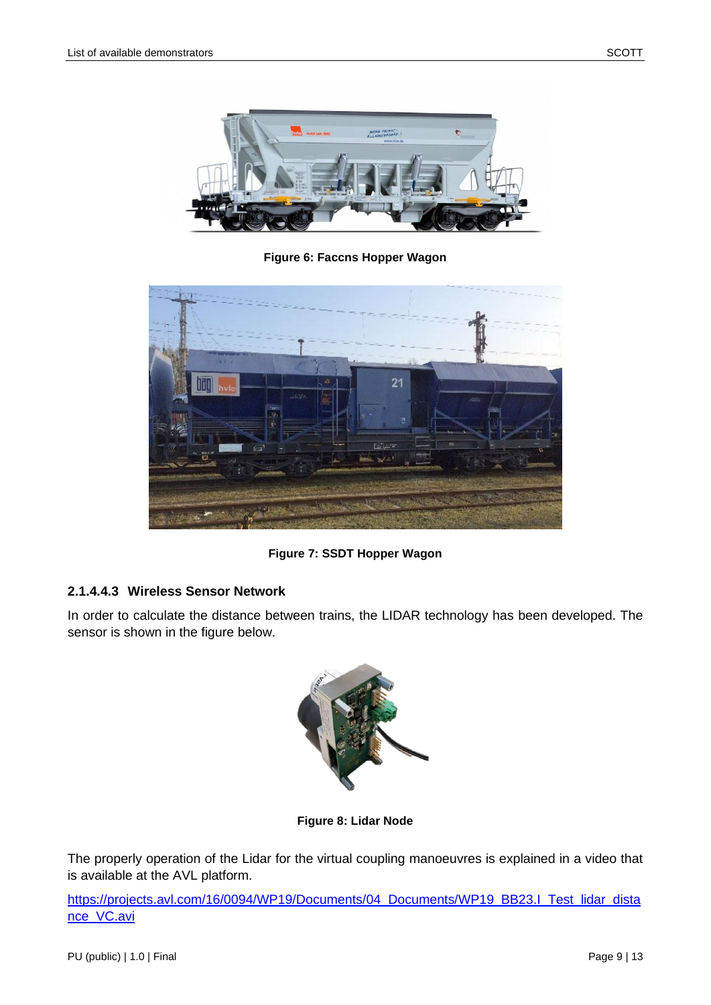

**Figure 6: Faccns Hopper Wagon**

<span id="page-8-0"></span>

**Figure 7: SSDT Hopper Wagon**

### <span id="page-8-1"></span>**2.1.4.4.3 Wireless Sensor Network**

In order to calculate the distance between trains, the LIDAR technology has been developed. The sensor is shown in the figure below.



**Figure 8: Lidar Node**

<span id="page-8-2"></span>The properly operation of the Lidar for the virtual coupling manoeuvres is explained in a video that is available at the AVL platform.

[https://projects.avl.com/16/0094/WP19/Documents/04\\_Documents/WP19\\_BB23.I\\_Test\\_lidar\\_dista](https://projects.avl.com/16/0094/WP19/Documents/04_Documents/WP19_BB23.I_Test_lidar_distance_VC.avi) [nce\\_VC.avi](https://projects.avl.com/16/0094/WP19/Documents/04_Documents/WP19_BB23.I_Test_lidar_distance_VC.avi)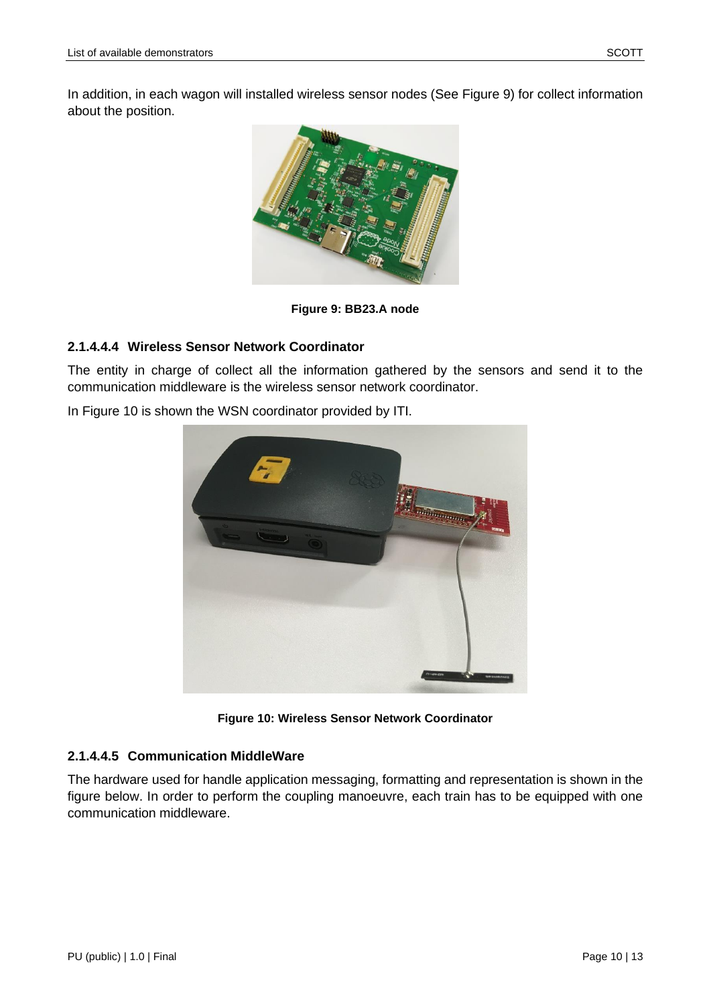In addition, in each wagon will installed wireless sensor nodes (See [Figure 9\)](#page-9-0) for collect information about the position.



**Figure 9: BB23.A node**

#### <span id="page-9-0"></span>**2.1.4.4.4 Wireless Sensor Network Coordinator**

The entity in charge of collect all the information gathered by the sensors and send it to the communication middleware is the wireless sensor network coordinator.

In [Figure 10](#page-9-1) is shown the WSN coordinator provided by ITI.



**Figure 10: Wireless Sensor Network Coordinator**

#### <span id="page-9-1"></span>**2.1.4.4.5 Communication MiddleWare**

The hardware used for handle application messaging, formatting and representation is shown in the figure below. In order to perform the coupling manoeuvre, each train has to be equipped with one communication middleware.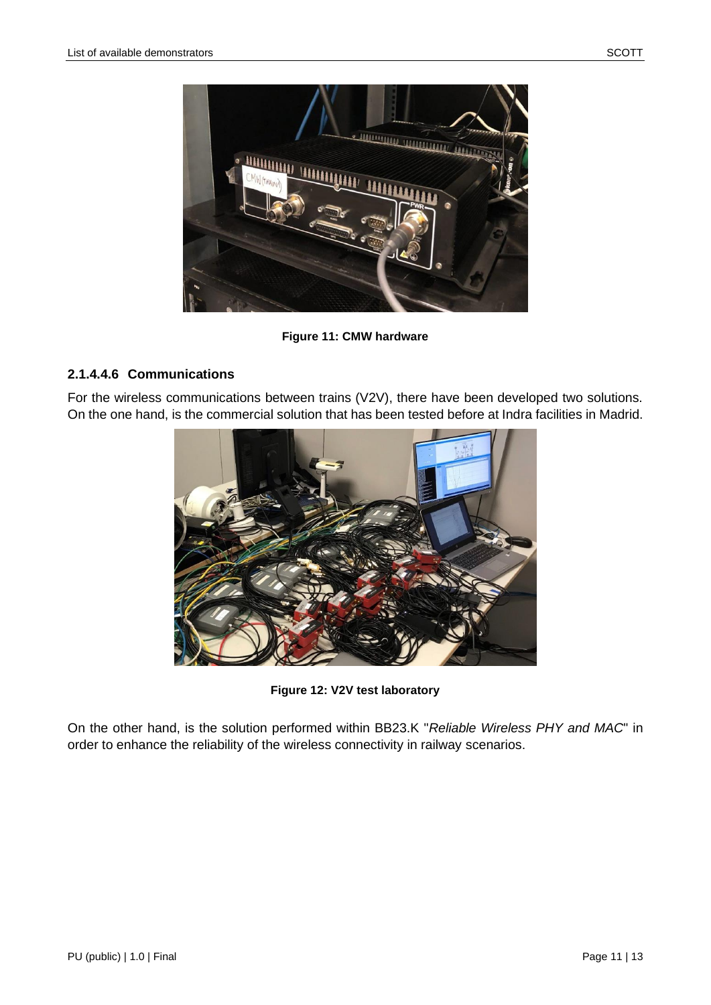

**Figure 11: CMW hardware**

#### <span id="page-10-0"></span>**2.1.4.4.6 Communications**

For the wireless communications between trains (V2V), there have been developed two solutions. On the one hand, is the commercial solution that has been tested before at Indra facilities in Madrid.



**Figure 12: V2V test laboratory**

<span id="page-10-1"></span>On the other hand, is the solution performed within BB23.K "*Reliable Wireless PHY and MAC*" in order to enhance the reliability of the wireless connectivity in railway scenarios.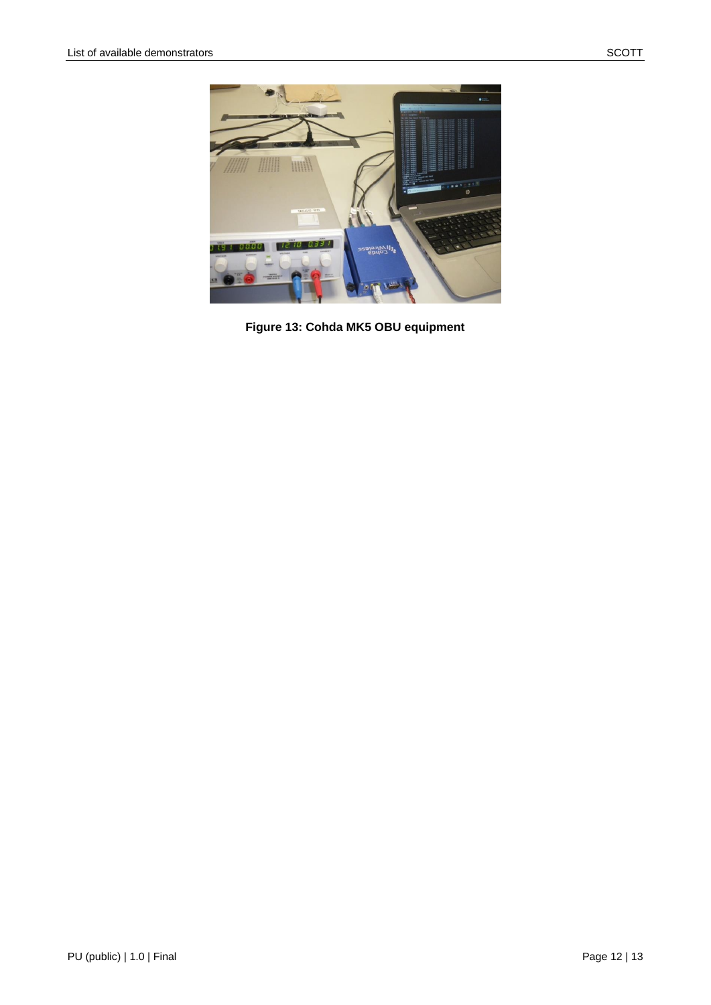<span id="page-11-0"></span>

Figure 13: Cohda MK5 OBU equipment